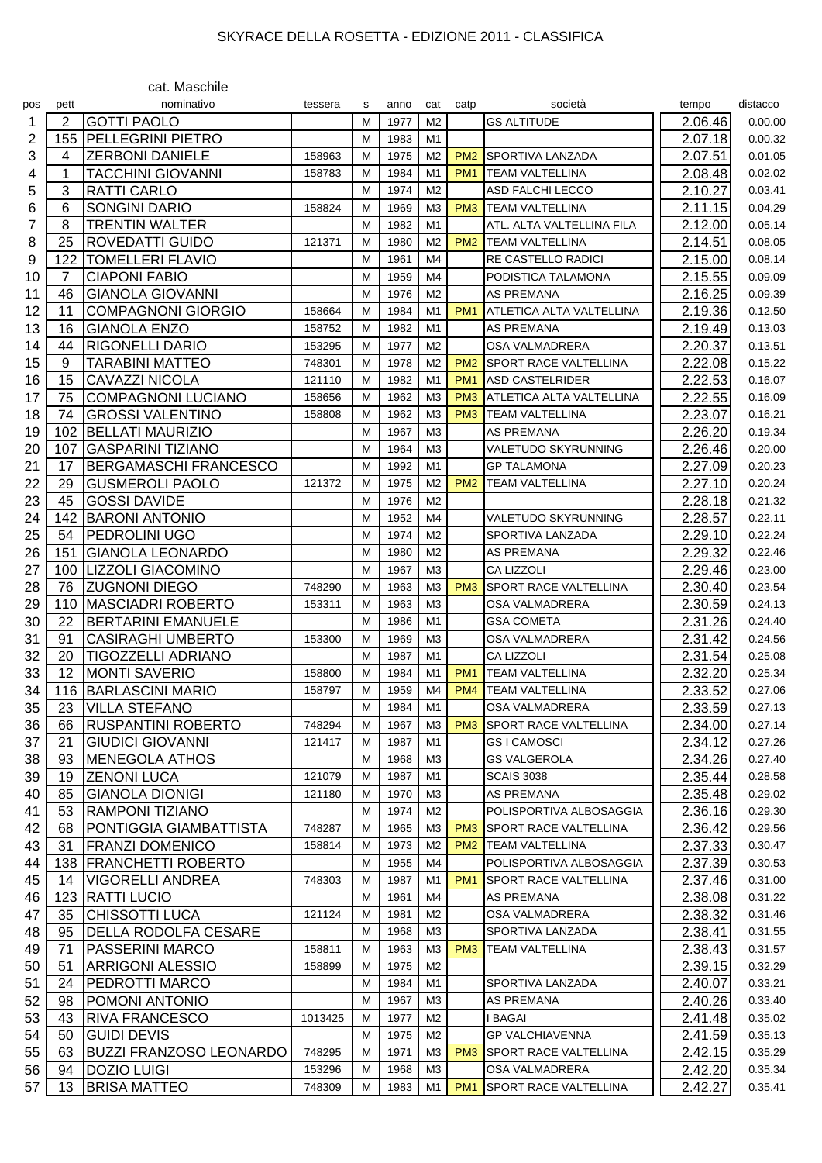## SKYRACE DELLA ROSETTA - EDIZIONE 2011 - CLASSIFICA

|     |      | cat. Maschile                  |         |   |      |                |                 |                              |         |          |
|-----|------|--------------------------------|---------|---|------|----------------|-----------------|------------------------------|---------|----------|
| pos | pett | nominativo                     | tessera | s | anno | cat            | catp            | società                      | tempo   | distacco |
| 1   | 2    | <b>GOTTI PAOLO</b>             |         | M | 1977 | M <sub>2</sub> |                 | <b>GS ALTITUDE</b>           | 2.06.46 | 0.00.00  |
| 2   | 155  | <b>PELLEGRINI PIETRO</b>       |         | M | 1983 | M1             |                 |                              | 2.07.18 | 0.00.32  |
| 3   | 4    | <b>ZERBONI DANIELE</b>         | 158963  | M | 1975 | M <sub>2</sub> | PM <sub>2</sub> | SPORTIVA LANZADA             | 2.07.51 | 0.01.05  |
| 4   | 1    | <b>TACCHINI GIOVANNI</b>       | 158783  | M | 1984 | M1             | PM <sub>1</sub> | <b>TEAM VALTELLINA</b>       | 2.08.48 | 0.02.02  |
| 5   | 3    | <b>RATTI CARLO</b>             |         | M | 1974 | M <sub>2</sub> |                 | <b>ASD FALCHI LECCO</b>      | 2.10.27 | 0.03.41  |
| 6   | 6    | <b>SONGINI DARIO</b>           | 158824  | M | 1969 | M <sub>3</sub> | PM <sub>3</sub> | <b>TEAM VALTELLINA</b>       | 2.11.15 | 0.04.29  |
| 7   | 8    | <b>TRENTIN WALTER</b>          |         | M | 1982 | M1             |                 | ATL. ALTA VALTELLINA FILA    | 2.12.00 | 0.05.14  |
| 8   | 25   | <b>ROVEDATTI GUIDO</b>         | 121371  | M | 1980 | M <sub>2</sub> | PM <sub>2</sub> | <b>TEAM VALTELLINA</b>       | 2.14.51 | 0.08.05  |
| 9   | 122  | <b>TOMELLERI FLAVIO</b>        |         | M | 1961 | M <sub>4</sub> |                 | <b>RE CASTELLO RADICI</b>    | 2.15.00 | 0.08.14  |
| 10  | 7    | <b>CIAPONI FABIO</b>           |         | M | 1959 | M <sub>4</sub> |                 | PODISTICA TALAMONA           | 2.15.55 | 0.09.09  |
| 11  | 46   | <b>GIANOLA GIOVANNI</b>        |         | M | 1976 | M <sub>2</sub> |                 | <b>AS PREMANA</b>            | 2.16.25 | 0.09.39  |
| 12  | 11   | <b>COMPAGNONI GIORGIO</b>      | 158664  | M | 1984 | M1             | PM <sub>1</sub> | ATLETICA ALTA VALTELLINA     | 2.19.36 | 0.12.50  |
| 13  | 16   | <b>GIANOLA ENZO</b>            | 158752  | M | 1982 | M1             |                 | <b>AS PREMANA</b>            | 2.19.49 | 0.13.03  |
| 14  | 44   | <b>RIGONELLI DARIO</b>         | 153295  | M | 1977 | M <sub>2</sub> |                 | <b>OSA VALMADRERA</b>        | 2.20.37 | 0.13.51  |
| 15  | 9    | <b>TARABINI MATTEO</b>         | 748301  | M | 1978 | M <sub>2</sub> | PM <sub>2</sub> | <b>SPORT RACE VALTELLINA</b> | 2.22.08 | 0.15.22  |
| 16  | 15   | <b>CAVAZZI NICOLA</b>          | 121110  | м | 1982 | M <sub>1</sub> | PM <sub>1</sub> | <b>ASD CASTELRIDER</b>       | 2.22.53 | 0.16.07  |
| 17  | 75   | <b>COMPAGNONI LUCIANO</b>      | 158656  | M | 1962 | M <sub>3</sub> | PM <sub>3</sub> | ATLETICA ALTA VALTELLINA     | 2.22.55 | 0.16.09  |
| 18  | 74   | <b>GROSSI VALENTINO</b>        | 158808  | M | 1962 | M <sub>3</sub> | PM <sub>3</sub> | <b>TEAM VALTELLINA</b>       | 2.23.07 | 0.16.21  |
| 19  | 102  | <b>BELLATI MAURIZIO</b>        |         | M | 1967 | M <sub>3</sub> |                 | <b>AS PREMANA</b>            | 2.26.20 | 0.19.34  |
| 20  | 107  | <b>GASPARINI TIZIANO</b>       |         | M | 1964 | M <sub>3</sub> |                 | VALETUDO SKYRUNNING          | 2.26.46 | 0.20.00  |
| 21  | 17   | <b>BERGAMASCHI FRANCESCO</b>   |         | M | 1992 | M1             |                 | GP TALAMONA                  | 2.27.09 | 0.20.23  |
| 22  | 29   | <b>GUSMEROLI PAOLO</b>         | 121372  | M | 1975 | M <sub>2</sub> | PM <sub>2</sub> | <b>TEAM VALTELLINA</b>       | 2.27.10 | 0.20.24  |
| 23  | 45   | <b>GOSSI DAVIDE</b>            |         | M | 1976 | M <sub>2</sub> |                 |                              | 2.28.18 |          |
|     |      |                                |         |   | 1952 | M4             |                 | VALETUDO SKYRUNNING          |         | 0.21.32  |
| 24  | 142  | <b>BARONI ANTONIO</b>          |         | M |      |                |                 |                              | 2.28.57 | 0.22.11  |
| 25  | 54   | PEDROLINI UGO                  |         | M | 1974 | M <sub>2</sub> |                 | SPORTIVA LANZADA             | 2.29.10 | 0.22.24  |
| 26  | 151  | <b>GIANOLA LEONARDO</b>        |         | M | 1980 | M <sub>2</sub> |                 | <b>AS PREMANA</b>            | 2.29.32 | 0.22.46  |
| 27  | 100  | <b>LIZZOLI GIACOMINO</b>       |         | M | 1967 | M <sub>3</sub> |                 | <b>CA LIZZOLI</b>            | 2.29.46 | 0.23.00  |
| 28  | 76   | <b>ZUGNONI DIEGO</b>           | 748290  | M | 1963 | M <sub>3</sub> | PM <sub>3</sub> | <b>SPORT RACE VALTELLINA</b> | 2.30.40 | 0.23.54  |
| 29  | 110  | <b>MASCIADRI ROBERTO</b>       | 153311  | M | 1963 | M <sub>3</sub> |                 | OSA VALMADRERA               | 2.30.59 | 0.24.13  |
| 30  | 22   | <b>BERTARINI EMANUELE</b>      |         | M | 1986 | M1             |                 | <b>GSA COMETA</b>            | 2.31.26 | 0.24.40  |
| 31  | 91   | <b>CASIRAGHI UMBERTO</b>       | 153300  | M | 1969 | M <sub>3</sub> |                 | <b>OSA VALMADRERA</b>        | 2.31.42 | 0.24.56  |
| 32  | 20   | TIGOZZELLI ADRIANO             |         | M | 1987 | M1             |                 | CA LIZZOLI                   | 2.31.54 | 0.25.08  |
| 33  | 12   | <b>MONTI SAVERIO</b>           | 158800  | M | 1984 | M1             | PM <sub>1</sub> | <b>TEAM VALTELLINA</b>       | 2.32.20 | 0.25.34  |
| 34  |      | 116 BARLASCINI MARIO           | 158797  | М | 1959 | M4             |                 | <b>PM4</b> TEAM VALTELLINA   | 2.33.52 | 0.27.06  |
| 35  | 23   | <b>VILLA STEFANO</b>           |         | М | 1984 | M1             |                 | <b>OSA VALMADRERA</b>        | 2.33.59 | 0.27.13  |
| 36  | 66   | <b>RUSPANTINI ROBERTO</b>      | 748294  | M | 1967 | M <sub>3</sub> | PM <sub>3</sub> | <b>SPORT RACE VALTELLINA</b> | 2.34.00 | 0.27.14  |
| 37  | 21   | <b>GIUDICI GIOVANNI</b>        | 121417  | M | 1987 | M <sub>1</sub> |                 | <b>GSI CAMOSCI</b>           | 2.34.12 | 0.27.26  |
| 38  | 93   | MENEGOLA ATHOS                 |         | M | 1968 | M <sub>3</sub> |                 | <b>GS VALGEROLA</b>          | 2.34.26 | 0.27.40  |
| 39  | 19   | <b>ZENONI LUCA</b>             | 121079  | M | 1987 | M1             |                 | <b>SCAIS 3038</b>            | 2.35.44 | 0.28.58  |
| 40  | 85   | <b>GIANOLA DIONIGI</b>         | 121180  | M | 1970 | M <sub>3</sub> |                 | AS PREMANA                   | 2.35.48 | 0.29.02  |
| 41  | 53   | <b>RAMPONI TIZIANO</b>         |         | M | 1974 | M <sub>2</sub> |                 | POLISPORTIVA ALBOSAGGIA      | 2.36.16 | 0.29.30  |
| 42  | 68   | <b>PONTIGGIA GIAMBATTISTA</b>  | 748287  | M | 1965 | M <sub>3</sub> | PM <sub>3</sub> | <b>SPORT RACE VALTELLINA</b> | 2.36.42 | 0.29.56  |
| 43  | 31   | <b>FRANZI DOMENICO</b>         | 158814  | M | 1973 | M <sub>2</sub> | PM <sub>2</sub> | <b>TEAM VALTELLINA</b>       | 2.37.33 | 0.30.47  |
| 44  | 138  | <b>FRANCHETTI ROBERTO</b>      |         | M | 1955 | M4             |                 | POLISPORTIVA ALBOSAGGIA      | 2.37.39 | 0.30.53  |
| 45  | 14   | VIGORELLI ANDREA               | 748303  | M | 1987 | M1             | PM <sub>1</sub> | SPORT RACE VALTELLINA        | 2.37.46 | 0.31.00  |
| 46  | 123  | <b>RATTI LUCIO</b>             |         | M | 1961 | M4             |                 | <b>AS PREMANA</b>            | 2.38.08 | 0.31.22  |
| 47  | 35   | <b>CHISSOTTI LUCA</b>          | 121124  | M | 1981 | M <sub>2</sub> |                 | OSA VALMADRERA               | 2.38.32 | 0.31.46  |
| 48  | 95   | <b>DELLA RODOLFA CESARE</b>    |         | M | 1968 | M <sub>3</sub> |                 | SPORTIVA LANZADA             | 2.38.41 | 0.31.55  |
| 49  | 71   | <b>PASSERINI MARCO</b>         | 158811  | M | 1963 | M <sub>3</sub> | PM <sub>3</sub> | <b>TEAM VALTELLINA</b>       | 2.38.43 | 0.31.57  |
| 50  | 51   | <b>ARRIGONI ALESSIO</b>        | 158899  | M | 1975 | M <sub>2</sub> |                 |                              | 2.39.15 | 0.32.29  |
| 51  | 24   | <b>PEDROTTI MARCO</b>          |         | M | 1984 | M1             |                 | SPORTIVA LANZADA             | 2.40.07 | 0.33.21  |
| 52  | 98   | POMONI ANTONIO                 |         | M | 1967 | M3             |                 | AS PREMANA                   | 2.40.26 | 0.33.40  |
| 53  | 43   | <b>RIVA FRANCESCO</b>          | 1013425 | M | 1977 | M <sub>2</sub> |                 | I BAGAI                      | 2.41.48 | 0.35.02  |
| 54  | 50   | <b>GUIDI DEVIS</b>             |         | M | 1975 | M <sub>2</sub> |                 | <b>GP VALCHIAVENNA</b>       | 2.41.59 | 0.35.13  |
| 55  | 63   | <b>BUZZI FRANZOSO LEONARDO</b> | 748295  | M | 1971 | M <sub>3</sub> | PM <sub>3</sub> | <b>SPORT RACE VALTELLINA</b> | 2.42.15 | 0.35.29  |
| 56  | 94   | <b>DOZIO LUIGI</b>             | 153296  | M | 1968 | M3             |                 | OSA VALMADRERA               | 2.42.20 | 0.35.34  |
| 57  | 13   | <b>BRISA MATTEO</b>            | 748309  | М | 1983 | M <sub>1</sub> | PM <sub>1</sub> | SPORT RACE VALTELLINA        | 2.42.27 | 0.35.41  |
|     |      |                                |         |   |      |                |                 |                              |         |          |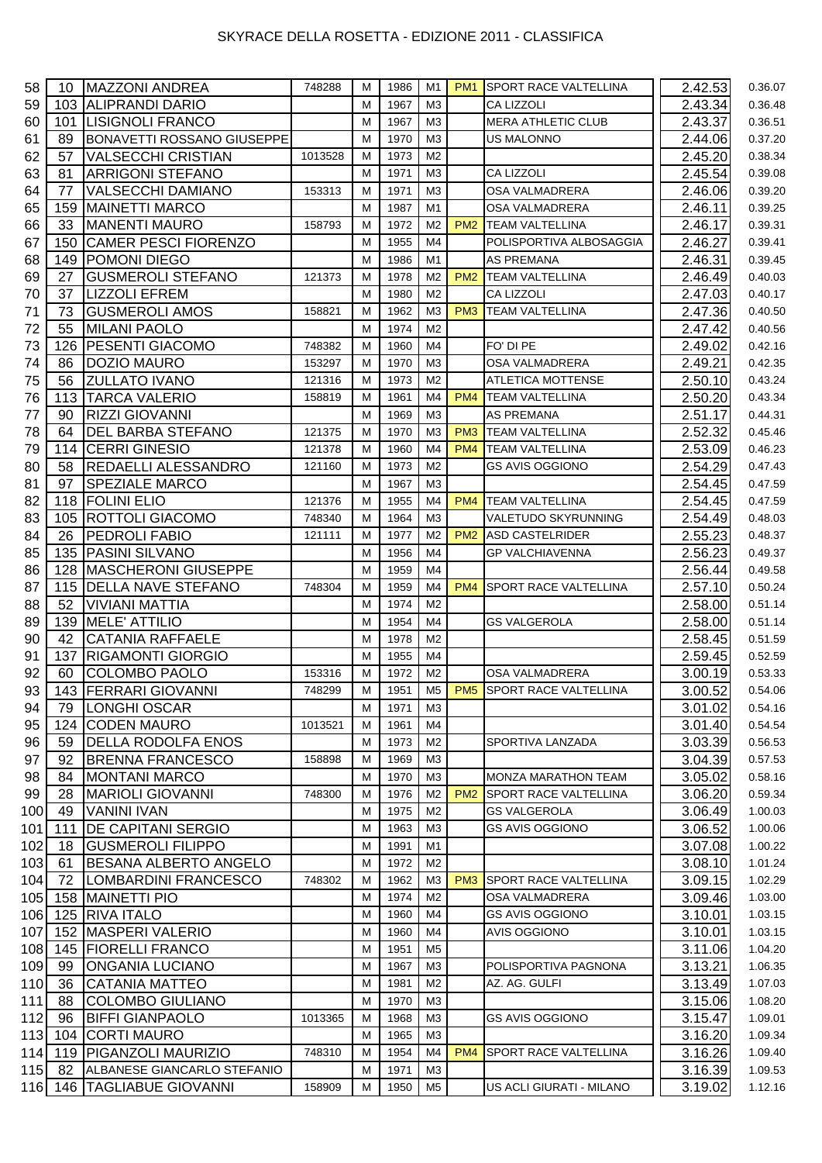## SKYRACE DELLA ROSETTA - EDIZIONE 2011 - CLASSIFICA

| 58  | 10  | <b>MAZZONI ANDREA</b>             | 748288  | M | 1986 | M1             | PM <sub>1</sub> | <b>SPORT RACE VALTELLINA</b>   | 2.42.53            | 0.36.07 |
|-----|-----|-----------------------------------|---------|---|------|----------------|-----------------|--------------------------------|--------------------|---------|
| 59  |     | 103 ALIPRANDI DARIO               |         | M | 1967 | M <sub>3</sub> |                 | <b>CA LIZZOLI</b>              | 2.43.34            | 0.36.48 |
| 60  | 101 | <b>LISIGNOLI FRANCO</b>           |         | M | 1967 | M <sub>3</sub> |                 | <b>MERA ATHLETIC CLUB</b>      | 2.43.37            | 0.36.51 |
| 61  | 89  | <b>BONAVETTI ROSSANO GIUSEPPE</b> |         | M | 1970 | M <sub>3</sub> |                 | <b>US MALONNO</b>              | 2.44.06            | 0.37.20 |
| 62  | 57  | <b>VALSECCHI CRISTIAN</b>         | 1013528 | M | 1973 | M <sub>2</sub> |                 |                                | 2.45.20            | 0.38.34 |
| 63  | 81  | <b>ARRIGONI STEFANO</b>           |         | M | 1971 | M3             |                 | <b>CA LIZZOLI</b>              | 2.45.54            | 0.39.08 |
| 64  | 77  | <b>VALSECCHI DAMIANO</b>          | 153313  | M | 1971 | M <sub>3</sub> |                 | OSA VALMADRERA                 | 2.46.06            | 0.39.20 |
| 65  | 159 | <b>MAINETTI MARCO</b>             |         | M | 1987 | M1             |                 | OSA VALMADRERA                 | 2.46.11            | 0.39.25 |
| 66  | 33  | <b>MANENTI MAURO</b>              | 158793  | M | 1972 | M <sub>2</sub> | PM <sub>2</sub> | <b>TEAM VALTELLINA</b>         | 2.46.17            | 0.39.31 |
| 67  | 150 | <b>CAMER PESCI FIORENZO</b>       |         | M | 1955 | M <sub>4</sub> |                 | POLISPORTIVA ALBOSAGGIA        | 2.46.27            | 0.39.41 |
| 68  | 149 | <b>POMONI DIEGO</b>               |         | M | 1986 | M1             |                 | <b>AS PREMANA</b>              | 2.46.31            | 0.39.45 |
| 69  | 27  | <b>GUSMEROLI STEFANO</b>          | 121373  | M | 1978 | M <sub>2</sub> | PM <sub>2</sub> | <b>TEAM VALTELLINA</b>         | 2.46.49            | 0.40.03 |
| 70  | 37  | <b>LIZZOLI EFREM</b>              |         | M | 1980 | M <sub>2</sub> |                 | <b>CA LIZZOLI</b>              | 2.47.03            | 0.40.17 |
| 71  | 73  | <b>GUSMEROLI AMOS</b>             | 158821  |   | 1962 | M <sub>3</sub> | PM <sub>3</sub> | <b>TEAM VALTELLINA</b>         |                    | 0.40.50 |
|     |     |                                   |         | M |      |                |                 |                                | 2.47.36            |         |
| 72  | 55  | <b>MILANI PAOLO</b>               |         | M | 1974 | M <sub>2</sub> |                 |                                | 2.47.42            | 0.40.56 |
| 73  |     | 126 PESENTI GIACOMO               | 748382  | M | 1960 | M4             |                 | FO' DI PE                      | 2.49.02            | 0.42.16 |
| 74  | 86  | <b>DOZIO MAURO</b>                | 153297  | M | 1970 | M <sub>3</sub> |                 | OSA VALMADRERA                 | 2.49.21            | 0.42.35 |
| 75  | 56  | <b>ZULLATO IVANO</b>              | 121316  | M | 1973 | M <sub>2</sub> |                 | <b>ATLETICA MOTTENSE</b>       | 2.50.10            | 0.43.24 |
| 76  |     | 113 TARCA VALERIO                 | 158819  | M | 1961 | M <sub>4</sub> | PM <sub>4</sub> | <b>TEAM VALTELLINA</b>         | 2.50.20            | 0.43.34 |
| 77  | 90  | <b>RIZZI GIOVANNI</b>             |         | M | 1969 | M <sub>3</sub> |                 | <b>AS PREMANA</b>              | 2.51.17            | 0.44.31 |
| 78  | 64  | DEL BARBA STEFANO                 | 121375  | M | 1970 | M <sub>3</sub> | PM <sub>3</sub> | <b>TEAM VALTELLINA</b>         | 2.52.32            | 0.45.46 |
| 79  | 114 | <b>CERRI GINESIO</b>              | 121378  | M | 1960 | M <sub>4</sub> | PM <sub>4</sub> | <b>TEAM VALTELLINA</b>         | 2.53.09            | 0.46.23 |
| 80  | 58  | <b>REDAELLI ALESSANDRO</b>        | 121160  | M | 1973 | M <sub>2</sub> |                 | <b>GS AVIS OGGIONO</b>         | 2.54.29            | 0.47.43 |
| 81  | 97  | SPEZIALE MARCO                    |         | M | 1967 | M <sub>3</sub> |                 |                                | 2.54.45            | 0.47.59 |
| 82  |     | 118 FOLINI ELIO                   | 121376  | M | 1955 | M <sub>4</sub> | PM <sub>4</sub> | <b>TEAM VALTELLINA</b>         | 2.54.45            | 0.47.59 |
| 83  |     | 105 ROTTOLI GIACOMO               | 748340  | M | 1964 | M <sub>3</sub> |                 | VALETUDO SKYRUNNING            | 2.54.49            | 0.48.03 |
| 84  | 26  | <b>PEDROLI FABIO</b>              | 121111  | M | 1977 | M <sub>2</sub> | PM <sub>2</sub> | <b>ASD CASTELRIDER</b>         | 2.55.23            | 0.48.37 |
| 85  |     | 135 PASINI SILVANO                |         | M | 1956 | M <sub>4</sub> |                 | <b>GP VALCHIAVENNA</b>         | 2.56.23            | 0.49.37 |
| 86  |     | 128 MASCHERONI GIUSEPPE           |         | M | 1959 | M4             |                 |                                | 2.56.44            | 0.49.58 |
|     |     |                                   |         |   |      |                |                 |                                |                    |         |
| 87  |     | 115 DELLA NAVE STEFANO            | 748304  | M | 1959 | M <sub>4</sub> | PM <sub>4</sub> | <b>SPORT RACE VALTELLINA</b>   | 2.57.10            | 0.50.24 |
| 88  | 52  | <b>VIVIANI MATTIA</b>             |         | M | 1974 | M <sub>2</sub> |                 |                                | 2.58.00            | 0.51.14 |
| 89  |     | 139 MELE' ATTILIO                 |         | M | 1954 | M4             |                 | <b>GS VALGEROLA</b>            | 2.58.00            | 0.51.14 |
| 90  | 42  | <b>CATANIA RAFFAELE</b>           |         | M | 1978 | M <sub>2</sub> |                 |                                | 2.58.45            | 0.51.59 |
| 91  | 137 | <b>RIGAMONTI GIORGIO</b>          |         | M | 1955 | M4             |                 |                                | 2.59.45            | 0.52.59 |
| 92  | 60  | <b>COLOMBO PAOLO</b>              | 153316  | M | 1972 | M <sub>2</sub> |                 | OSA VALMADRERA                 | 3.00.19            | 0.53.33 |
| 93  |     | 143 FERRARI GIOVANNI              | 748299  | M | 1951 |                |                 | M5   PM5 SPORT RACE VALTELLINA | 3.00.52            | 0.54.06 |
| 94  | 79  | <b>LONGHI OSCAR</b>               |         | M | 1971 | M <sub>3</sub> |                 |                                | 3.01.02            | 0.54.16 |
| 95  | 124 | <b>CODEN MAURO</b>                | 1013521 | M | 1961 | M4             |                 |                                | 3.01.40            | 0.54.54 |
| 96  | 59  | <b>DELLA RODOLFA ENOS</b>         |         | M | 1973 | M2             |                 | SPORTIVA LANZADA               | 3.03.39            | 0.56.53 |
| 97  | 92  | <b>BRENNA FRANCESCO</b>           | 158898  | M | 1969 | M3             |                 |                                | 3.04.39            | 0.57.53 |
| 98  | 84  | <b>MONTANI MARCO</b>              |         | M | 1970 | M3             |                 | <b>MONZA MARATHON TEAM</b>     | 3.05.02            | 0.58.16 |
| 99  | 28  | <b>MARIOLI GIOVANNI</b>           | 748300  | M | 1976 | M2             | PM <sub>2</sub> | <b>SPORT RACE VALTELLINA</b>   | 3.06.20            | 0.59.34 |
| 100 | 49  | <b>VANINI IVAN</b>                |         | M | 1975 | M <sub>2</sub> |                 | <b>GS VALGEROLA</b>            | 3.06.49            | 1.00.03 |
| 101 | 111 | <b>DE CAPITANI SERGIO</b>         |         | M | 1963 | M3             |                 | <b>GS AVIS OGGIONO</b>         | 3.06.52            | 1.00.06 |
| 102 |     | <b>GUSMEROLI FILIPPO</b>          |         | M | 1991 | M1             |                 |                                |                    |         |
|     | 18  |                                   |         |   |      |                |                 |                                | 3.07.08<br>3.08.10 | 1.00.22 |
| 103 | 61  | <b>BESANA ALBERTO ANGELO</b>      |         | M | 1972 | M2             |                 |                                |                    | 1.01.24 |
| 104 | 72  | LOMBARDINI FRANCESCO              | 748302  | M | 1962 | M <sub>3</sub> | PM <sub>3</sub> | <b>SPORT RACE VALTELLINA</b>   | 3.09.15            | 1.02.29 |
| 105 |     | 158 MAINETTI PIO                  |         | M | 1974 | M2             |                 | OSA VALMADRERA                 | 3.09.46            | 1.03.00 |
| 106 |     | 125 RIVA ITALO                    |         | M | 1960 | M4             |                 | <b>GS AVIS OGGIONO</b>         | 3.10.01            | 1.03.15 |
| 107 |     | 152   MASPERI VALERIO             |         | M | 1960 | M4             |                 | <b>AVIS OGGIONO</b>            | 3.10.01            | 1.03.15 |
| 108 |     | 145 FIORELLI FRANCO               |         | M | 1951 | M <sub>5</sub> |                 |                                | 3.11.06            | 1.04.20 |
| 109 | 99  | <b>ONGANIA LUCIANO</b>            |         | M | 1967 | M3             |                 | POLISPORTIVA PAGNONA           | 3.13.21            | 1.06.35 |
| 110 | 36  | <b>CATANIA MATTEO</b>             |         | M | 1981 | M <sub>2</sub> |                 | AZ. AG. GULFI                  | 3.13.49            | 1.07.03 |
| 111 | 88  | <b>COLOMBO GIULIANO</b>           |         | M | 1970 | M3             |                 |                                | 3.15.06            | 1.08.20 |
| 112 | 96  | <b>BIFFI GIANPAOLO</b>            | 1013365 | M | 1968 | M3             |                 | <b>GS AVIS OGGIONO</b>         | 3.15.47            | 1.09.01 |
|     |     | 113 104 CORTI MAURO               |         | M | 1965 | M <sub>3</sub> |                 |                                | 3.16.20            | 1.09.34 |
|     |     | 114 119 PIGANZOLI MAURIZIO        | 748310  | M | 1954 | M4             | PM <sub>4</sub> | <b>SPORT RACE VALTELLINA</b>   | 3.16.26            | 1.09.40 |
| 115 | 82  | ALBANESE GIANCARLO STEFANIO       |         | M | 1971 | M3             |                 |                                | 3.16.39            | 1.09.53 |
|     |     | 116 146 TAGLIABUE GIOVANNI        | 158909  | м | 1950 | M <sub>5</sub> |                 | US ACLI GIURATI - MILANO       | 3.19.02            | 1.12.16 |
|     |     |                                   |         |   |      |                |                 |                                |                    |         |